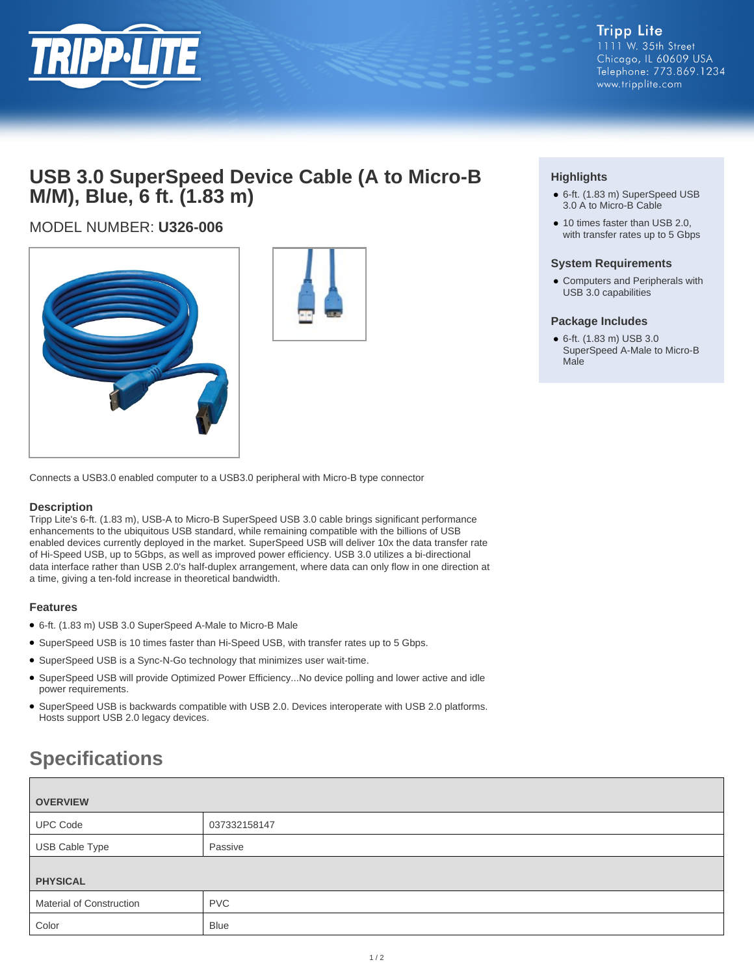

# **USB 3.0 SuperSpeed Device Cable (A to Micro-B M/M), Blue, 6 ft. (1.83 m)**

# MODEL NUMBER: **U326-006**





Connects a USB3.0 enabled computer to a USB3.0 peripheral with Micro-B type connector

### **Description**

Tripp Lite's 6-ft. (1.83 m), USB-A to Micro-B SuperSpeed USB 3.0 cable brings significant performance enhancements to the ubiquitous USB standard, while remaining compatible with the billions of USB enabled devices currently deployed in the market. SuperSpeed USB will deliver 10x the data transfer rate of Hi-Speed USB, up to 5Gbps, as well as improved power efficiency. USB 3.0 utilizes a bi-directional data interface rather than USB 2.0's half-duplex arrangement, where data can only flow in one direction at a time, giving a ten-fold increase in theoretical bandwidth.

## **Features**

- 6-ft. (1.83 m) USB 3.0 SuperSpeed A-Male to Micro-B Male
- SuperSpeed USB is 10 times faster than Hi-Speed USB, with transfer rates up to 5 Gbps.
- SuperSpeed USB is a Sync-N-Go technology that minimizes user wait-time.
- SuperSpeed USB will provide Optimized Power Efficiency...No device polling and lower active and idle power requirements.
- SuperSpeed USB is backwards compatible with USB 2.0. Devices interoperate with USB 2.0 platforms. Hosts support USB 2.0 legacy devices.

# **Specifications**

| <b>OVERVIEW</b>          |              |
|--------------------------|--------------|
| <b>UPC Code</b>          | 037332158147 |
| USB Cable Type           | Passive      |
| <b>PHYSICAL</b>          |              |
| Material of Construction | <b>PVC</b>   |
| Color                    | <b>Blue</b>  |

# **Highlights**

- 6-ft. (1.83 m) SuperSpeed USB 3.0 A to Micro-B Cable
- 10 times faster than USB 2.0, with transfer rates up to 5 Gbps

### **System Requirements**

● Computers and Peripherals with USB 3.0 capabilities

### **Package Includes**

● 6-ft. (1.83 m) USB 3.0 SuperSpeed A-Male to Micro-B Male